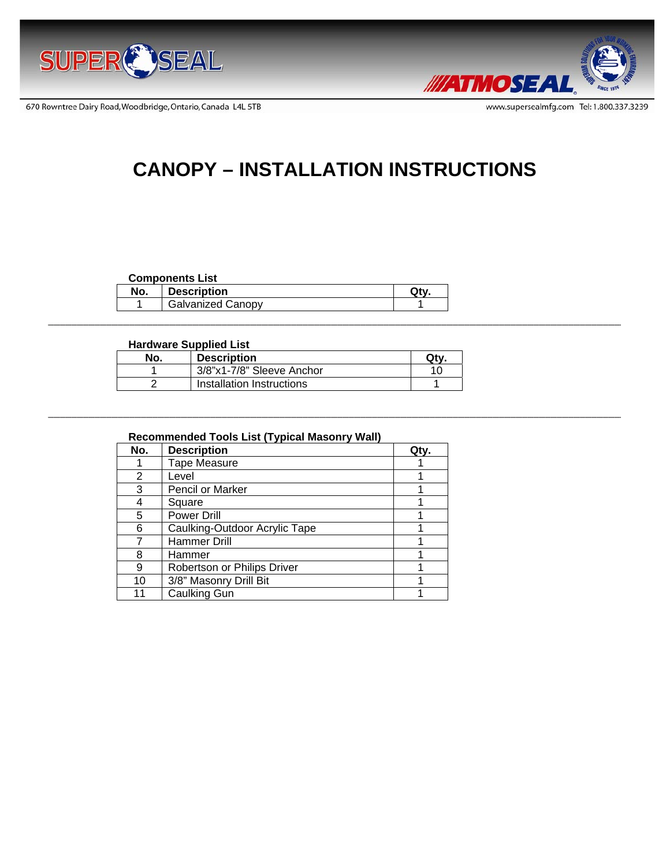

670 Rowntree Dairy Road, Woodbridge, Ontario, Canada L4L 5TB



# **CANOPY – INSTALLATION INSTRUCTIONS**

#### **Components List**

| No. | <b>Description</b>       |  |
|-----|--------------------------|--|
|     | <b>Galvanized Canopy</b> |  |

# **Hardware Supplied List**

| No. | <b>Description</b>        | Otv |
|-----|---------------------------|-----|
|     | 3/8"x1-7/8" Sleeve Anchor |     |
|     | Installation Instructions |     |

# **Recommended Tools List (Typical Masonry Wall)**

| No. | <b>Description</b>            | Qtv. |
|-----|-------------------------------|------|
|     | <b>Tape Measure</b>           |      |
| 2   | Level                         |      |
| 3   | Pencil or Marker              |      |
|     | Square                        |      |
| 5   | <b>Power Drill</b>            |      |
| 6   | Caulking-Outdoor Acrylic Tape |      |
|     | Hammer Drill                  |      |
| 8   | Hammer                        |      |
| 9   | Robertson or Philips Driver   |      |
| 10  | 3/8" Masonry Drill Bit        |      |
| 11  | <b>Caulking Gun</b>           |      |